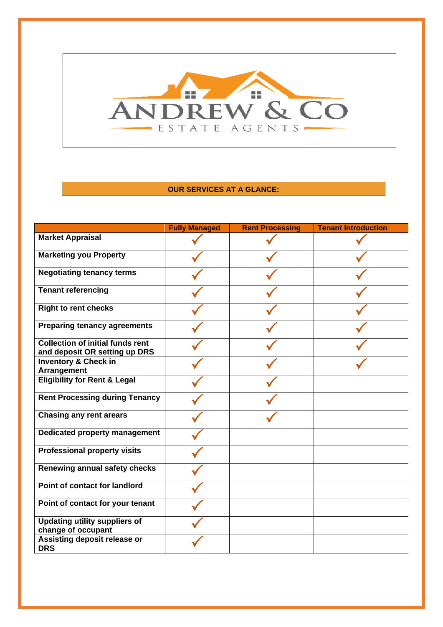

## **OUR SERVICES AT A GLANCE:**

|                                                                          | <b>Fully Managed</b> | <b>Rent Processing</b> | <b>Tenant Introduction</b> |
|--------------------------------------------------------------------------|----------------------|------------------------|----------------------------|
| <b>Market Appraisal</b>                                                  |                      |                        |                            |
| <b>Marketing you Property</b>                                            |                      |                        |                            |
| <b>Negotiating tenancy terms</b>                                         |                      |                        |                            |
| <b>Tenant referencing</b>                                                |                      |                        |                            |
| <b>Right to rent checks</b>                                              |                      |                        |                            |
| <b>Preparing tenancy agreements</b>                                      |                      |                        |                            |
| <b>Collection of initial funds rent</b><br>and deposit OR setting up DRS |                      |                        |                            |
| <b>Inventory &amp; Check in</b><br>Arrangement                           |                      |                        |                            |
| <b>Eligibility for Rent &amp; Legal</b>                                  |                      |                        |                            |
| <b>Rent Processing during Tenancy</b>                                    |                      |                        |                            |
| <b>Chasing any rent arears</b>                                           |                      |                        |                            |
| Dedicated property management                                            |                      |                        |                            |
| <b>Professional property visits</b>                                      |                      |                        |                            |
| Renewing annual safety checks                                            |                      |                        |                            |
| Point of contact for landlord                                            |                      |                        |                            |
| Point of contact for your tenant                                         |                      |                        |                            |
| <b>Updating utility suppliers of</b><br>change of occupant               |                      |                        |                            |
| Assisting deposit release or<br><b>DRS</b>                               |                      |                        |                            |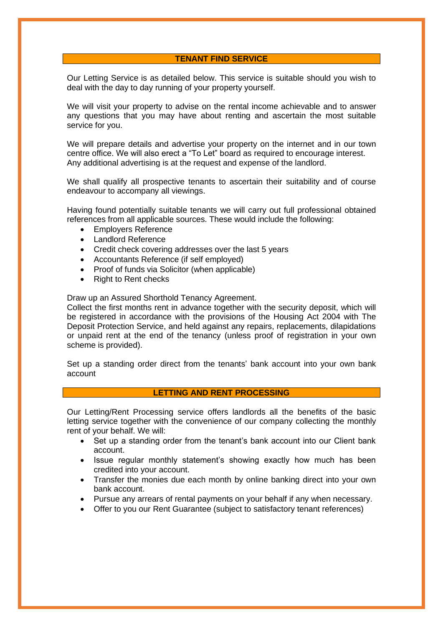### **TENANT FIND SERVICE**

Our Letting Service is as detailed below. This service is suitable should you wish to deal with the day to day running of your property yourself.

We will visit your property to advise on the rental income achievable and to answer any questions that you may have about renting and ascertain the most suitable service for you.

We will prepare details and advertise your property on the internet and in our town centre office. We will also erect a "To Let" board as required to encourage interest. Any additional advertising is at the request and expense of the landlord.

We shall qualify all prospective tenants to ascertain their suitability and of course endeavour to accompany all viewings.

Having found potentially suitable tenants we will carry out full professional obtained references from all applicable sources. These would include the following:

- Employers Reference
- Landlord Reference
- Credit check covering addresses over the last 5 years
- Accountants Reference (if self employed)
- Proof of funds via Solicitor (when applicable)
- Right to Rent checks

Draw up an Assured Shorthold Tenancy Agreement.

Collect the first months rent in advance together with the security deposit, which will be registered in accordance with the provisions of the Housing Act 2004 with The Deposit Protection Service, and held against any repairs, replacements, dilapidations or unpaid rent at the end of the tenancy (unless proof of registration in your own scheme is provided).

Set up a standing order direct from the tenants' bank account into your own bank account

## **LETTING AND RENT PROCESSING**

Our Letting/Rent Processing service offers landlords all the benefits of the basic letting service together with the convenience of our company collecting the monthly rent of your behalf. We will:

- Set up a standing order from the tenant's bank account into our Client bank account.
- Issue regular monthly statement's showing exactly how much has been credited into your account.
- Transfer the monies due each month by online banking direct into your own bank account.
- Pursue any arrears of rental payments on your behalf if any when necessary.
- Offer to you our Rent Guarantee (subject to satisfactory tenant references)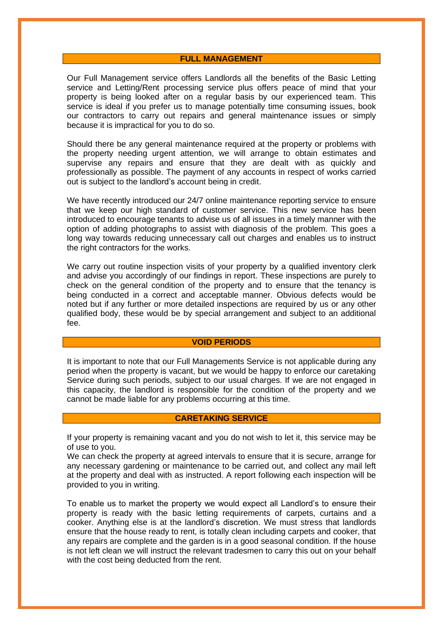#### **FULL MANAGEMENT**

Our Full Management service offers Landlords all the benefits of the Basic Letting service and Letting/Rent processing service plus offers peace of mind that your property is being looked after on a regular basis by our experienced team. This service is ideal if you prefer us to manage potentially time consuming issues, book our contractors to carry out repairs and general maintenance issues or simply because it is impractical for you to do so.

Should there be any general maintenance required at the property or problems with the property needing urgent attention, we will arrange to obtain estimates and supervise any repairs and ensure that they are dealt with as quickly and professionally as possible. The payment of any accounts in respect of works carried out is subject to the landlord's account being in credit.

We have recently introduced our 24/7 online maintenance reporting service to ensure that we keep our high standard of customer service. This new service has been introduced to encourage tenants to advise us of all issues in a timely manner with the option of adding photographs to assist with diagnosis of the problem. This goes a long way towards reducing unnecessary call out charges and enables us to instruct the right contractors for the works.

We carry out routine inspection visits of your property by a qualified inventory clerk and advise you accordingly of our findings in report. These inspections are purely to check on the general condition of the property and to ensure that the tenancy is being conducted in a correct and acceptable manner. Obvious defects would be noted but if any further or more detailed inspections are required by us or any other qualified body, these would be by special arrangement and subject to an additional fee.

#### **VOID PERIODS**

It is important to note that our Full Managements Service is not applicable during any period when the property is vacant, but we would be happy to enforce our caretaking Service during such periods, subject to our usual charges. If we are not engaged in this capacity, the landlord is responsible for the condition of the property and we cannot be made liable for any problems occurring at this time.

### **CARETAKING SERVICE**

If your property is remaining vacant and you do not wish to let it, this service may be of use to you.

We can check the property at agreed intervals to ensure that it is secure, arrange for any necessary gardening or maintenance to be carried out, and collect any mail left at the property and deal with as instructed. A report following each inspection will be provided to you in writing.

To enable us to market the property we would expect all Landlord's to ensure their property is ready with the basic letting requirements of carpets, curtains and a cooker. Anything else is at the landlord's discretion. We must stress that landlords ensure that the house ready to rent, is totally clean including carpets and cooker, that any repairs are complete and the garden is in a good seasonal condition. If the house is not left clean we will instruct the relevant tradesmen to carry this out on your behalf with the cost being deducted from the rent.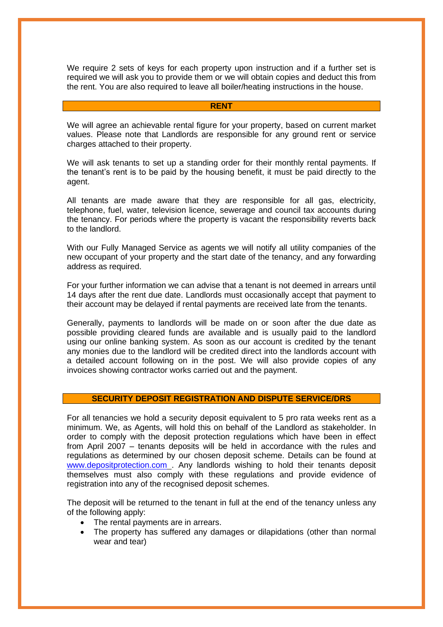We require 2 sets of keys for each property upon instruction and if a further set is required we will ask you to provide them or we will obtain copies and deduct this from the rent. You are also required to leave all boiler/heating instructions in the house.

#### **RENT**

We will agree an achievable rental figure for your property, based on current market values. Please note that Landlords are responsible for any ground rent or service charges attached to their property.

We will ask tenants to set up a standing order for their monthly rental payments. If the tenant's rent is to be paid by the housing benefit, it must be paid directly to the agent.

All tenants are made aware that they are responsible for all gas, electricity, telephone, fuel, water, television licence, sewerage and council tax accounts during the tenancy. For periods where the property is vacant the responsibility reverts back to the landlord.

With our Fully Managed Service as agents we will notify all utility companies of the new occupant of your property and the start date of the tenancy, and any forwarding address as required.

For your further information we can advise that a tenant is not deemed in arrears until 14 days after the rent due date. Landlords must occasionally accept that payment to their account may be delayed if rental payments are received late from the tenants.

Generally, payments to landlords will be made on or soon after the due date as possible providing cleared funds are available and is usually paid to the landlord using our online banking system. As soon as our account is credited by the tenant any monies due to the landlord will be credited direct into the landlords account with a detailed account following on in the post. We will also provide copies of any invoices showing contractor works carried out and the payment.

#### **SECURITY DEPOSIT REGISTRATION AND DISPUTE SERVICE/DRS**

For all tenancies we hold a security deposit equivalent to 5 pro rata weeks rent as a minimum. We, as Agents, will hold this on behalf of the Landlord as stakeholder. In order to comply with the deposit protection regulations which have been in effect from April 2007 – tenants deposits will be held in accordance with the rules and regulations as determined by our chosen deposit scheme. Details can be found at [www.depositprotection.com](http://www.depositprotection.com/) . Any landlords wishing to hold their tenants deposit themselves must also comply with these regulations and provide evidence of registration into any of the recognised deposit schemes.

The deposit will be returned to the tenant in full at the end of the tenancy unless any of the following apply:

- The rental payments are in arrears.
- The property has suffered any damages or dilapidations (other than normal wear and tear)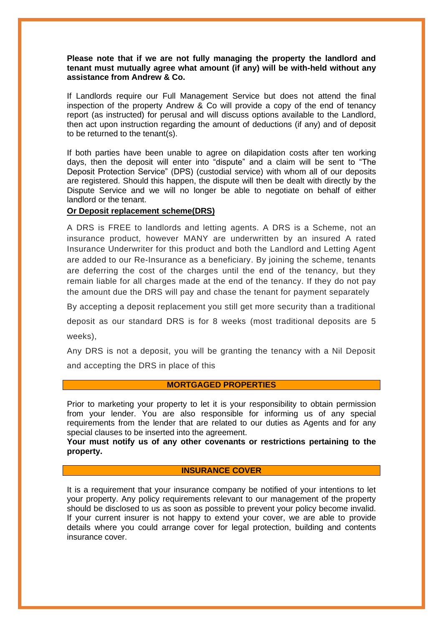### **Please note that if we are not fully managing the property the landlord and tenant must mutually agree what amount (if any) will be with-held without any assistance from Andrew & Co.**

If Landlords require our Full Management Service but does not attend the final inspection of the property Andrew & Co will provide a copy of the end of tenancy report (as instructed) for perusal and will discuss options available to the Landlord, then act upon instruction regarding the amount of deductions (if any) and of deposit to be returned to the tenant(s).

If both parties have been unable to agree on dilapidation costs after ten working days, then the deposit will enter into "dispute" and a claim will be sent to "The Deposit Protection Service" (DPS) (custodial service) with whom all of our deposits are registered. Should this happen, the dispute will then be dealt with directly by the Dispute Service and we will no longer be able to negotiate on behalf of either landlord or the tenant.

## **Or Deposit replacement scheme(DRS)**

A DRS is FREE to landlords and letting agents. A DRS is a Scheme, not an insurance product, however MANY are underwritten by an insured A rated Insurance Underwriter for this product and both the Landlord and Letting Agent are added to our Re-Insurance as a beneficiary. By joining the scheme, tenants are deferring the cost of the charges until the end of the tenancy, but they remain liable for all charges made at the end of the tenancy. If they do not pay the amount due the DRS will pay and chase the tenant for payment separately

By accepting a deposit replacement you still get more security than a traditional

deposit as our standard DRS is for 8 weeks (most traditional deposits are 5 weeks),

Any DRS is not a deposit, you will be granting the tenancy with a Nil Deposit and accepting the DRS in place of this

#### **MORTGAGED PROPERTIES**

Prior to marketing your property to let it is your responsibility to obtain permission from your lender. You are also responsible for informing us of any special requirements from the lender that are related to our duties as Agents and for any special clauses to be inserted into the agreement.

**Your must notify us of any other covenants or restrictions pertaining to the property.** 

## **INSURANCE COVER**

It is a requirement that your insurance company be notified of your intentions to let your property. Any policy requirements relevant to our management of the property should be disclosed to us as soon as possible to prevent your policy become invalid. If your current insurer is not happy to extend your cover, we are able to provide details where you could arrange cover for legal protection, building and contents insurance cover.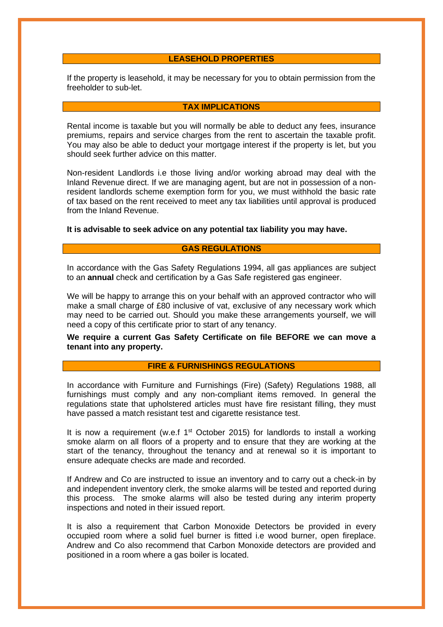#### **LEASEHOLD PROPERTIES**

If the property is leasehold, it may be necessary for you to obtain permission from the freeholder to sub-let.

### **TAX IMPLICATIONS**

Rental income is taxable but you will normally be able to deduct any fees, insurance premiums, repairs and service charges from the rent to ascertain the taxable profit. You may also be able to deduct your mortgage interest if the property is let, but you should seek further advice on this matter.

Non-resident Landlords i.e those living and/or working abroad may deal with the Inland Revenue direct. If we are managing agent, but are not in possession of a nonresident landlords scheme exemption form for you, we must withhold the basic rate of tax based on the rent received to meet any tax liabilities until approval is produced from the Inland Revenue.

**It is advisable to seek advice on any potential tax liability you may have.**

## **GAS REGULATIONS**

In accordance with the Gas Safety Regulations 1994, all gas appliances are subject to an **annual** check and certification by a Gas Safe registered gas engineer.

We will be happy to arrange this on your behalf with an approved contractor who will make a small charge of £80 inclusive of vat, exclusive of any necessary work which may need to be carried out. Should you make these arrangements yourself, we will need a copy of this certificate prior to start of any tenancy.

**We require a current Gas Safety Certificate on file BEFORE we can move a tenant into any property.**

# **FIRE & FURNISHINGS REGULATIONS**

In accordance with Furniture and Furnishings (Fire) (Safety) Regulations 1988, all furnishings must comply and any non-compliant items removed. In general the regulations state that upholstered articles must have fire resistant filling, they must have passed a match resistant test and cigarette resistance test.

It is now a requirement (w.e.f  $1<sup>st</sup>$  October 2015) for landlords to install a working smoke alarm on all floors of a property and to ensure that they are working at the start of the tenancy, throughout the tenancy and at renewal so it is important to ensure adequate checks are made and recorded.

If Andrew and Co are instructed to issue an inventory and to carry out a check-in by and independent inventory clerk, the smoke alarms will be tested and reported during this process. The smoke alarms will also be tested during any interim property inspections and noted in their issued report.

It is also a requirement that Carbon Monoxide Detectors be provided in every occupied room where a solid fuel burner is fitted i.e wood burner, open fireplace. Andrew and Co also recommend that Carbon Monoxide detectors are provided and positioned in a room where a gas boiler is located.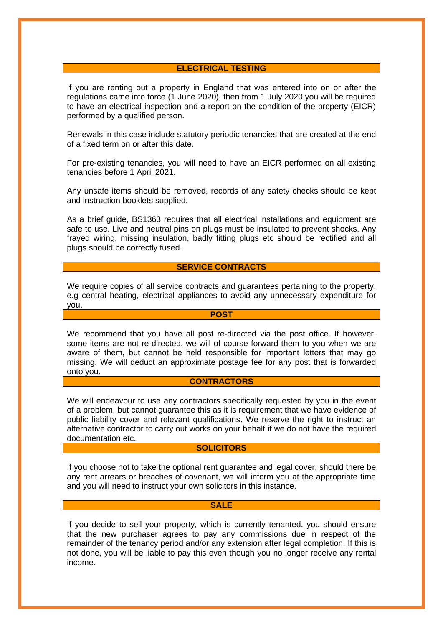### **ELECTRICAL TESTING**

If you are renting out a property in England that was entered into on or after the regulations came into force (1 June 2020), then from 1 July 2020 you will be required to have an electrical inspection and a report on the condition of the property (EICR) performed by a qualified person.

Renewals in this case include statutory periodic tenancies that are created at the end of a fixed term on or after this date.

For pre-existing tenancies, you will need to have an EICR performed on all existing tenancies before 1 April 2021.

Any unsafe items should be removed, records of any safety checks should be kept and instruction booklets supplied.

As a brief guide, BS1363 requires that all electrical installations and equipment are safe to use. Live and neutral pins on plugs must be insulated to prevent shocks. Any frayed wiring, missing insulation, badly fitting plugs etc should be rectified and all plugs should be correctly fused.

#### **SERVICE CONTRACTS**

We require copies of all service contracts and quarantees pertaining to the property, e.g central heating, electrical appliances to avoid any unnecessary expenditure for you.

# **POST**

We recommend that you have all post re-directed via the post office. If however, some items are not re-directed, we will of course forward them to you when we are aware of them, but cannot be held responsible for important letters that may go missing. We will deduct an approximate postage fee for any post that is forwarded onto you.

## **CONTRACTORS**

We will endeavour to use any contractors specifically requested by you in the event of a problem, but cannot guarantee this as it is requirement that we have evidence of public liability cover and relevant qualifications. We reserve the right to instruct an alternative contractor to carry out works on your behalf if we do not have the required documentation etc.

### **SOLICITORS**

If you choose not to take the optional rent guarantee and legal cover, should there be any rent arrears or breaches of covenant, we will inform you at the appropriate time and you will need to instruct your own solicitors in this instance.

#### **SALE**

If you decide to sell your property, which is currently tenanted, you should ensure that the new purchaser agrees to pay any commissions due in respect of the remainder of the tenancy period and/or any extension after legal completion. If this is not done, you will be liable to pay this even though you no longer receive any rental income.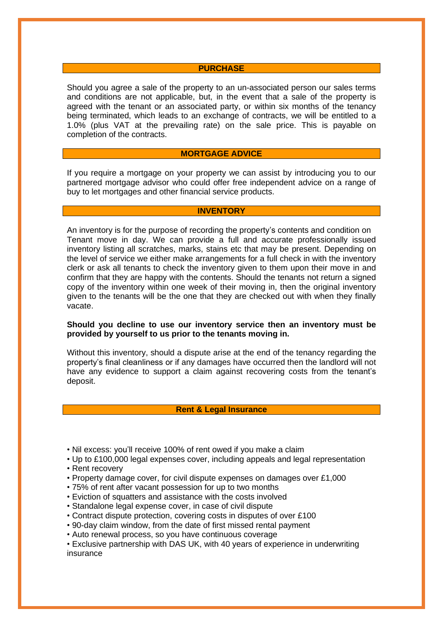### **PURCHASE**

Should you agree a sale of the property to an un-associated person our sales terms and conditions are not applicable, but, in the event that a sale of the property is agreed with the tenant or an associated party, or within six months of the tenancy being terminated, which leads to an exchange of contracts, we will be entitled to a 1.0% (plus VAT at the prevailing rate) on the sale price. This is payable on completion of the contracts.

### **MORTGAGE ADVICE**

If you require a mortgage on your property we can assist by introducing you to our partnered mortgage advisor who could offer free independent advice on a range of buy to let mortgages and other financial service products.

### **INVENTORY**

An inventory is for the purpose of recording the property's contents and condition on Tenant move in day. We can provide a full and accurate professionally issued inventory listing all scratches, marks, stains etc that may be present. Depending on the level of service we either make arrangements for a full check in with the inventory clerk or ask all tenants to check the inventory given to them upon their move in and confirm that they are happy with the contents. Should the tenants not return a signed copy of the inventory within one week of their moving in, then the original inventory given to the tenants will be the one that they are checked out with when they finally vacate.

### **Should you decline to use our inventory service then an inventory must be provided by yourself to us prior to the tenants moving in.**

Without this inventory, should a dispute arise at the end of the tenancy regarding the property's final cleanliness or if any damages have occurred then the landlord will not have any evidence to support a claim against recovering costs from the tenant's deposit.

### **Rent & Legal Insurance**

- Nil excess: you'll receive 100% of rent owed if you make a claim
- Up to £100,000 legal expenses cover, including appeals and legal representation
- Rent recovery
- Property damage cover, for civil dispute expenses on damages over £1,000
- 75% of rent after vacant possession for up to two months
- Eviction of squatters and assistance with the costs involved
- Standalone legal expense cover, in case of civil dispute
- Contract dispute protection, covering costs in disputes of over £100
- 90-day claim window, from the date of first missed rental payment
- Auto renewal process, so you have continuous coverage
- Exclusive partnership with DAS UK, with 40 years of experience in underwriting insurance